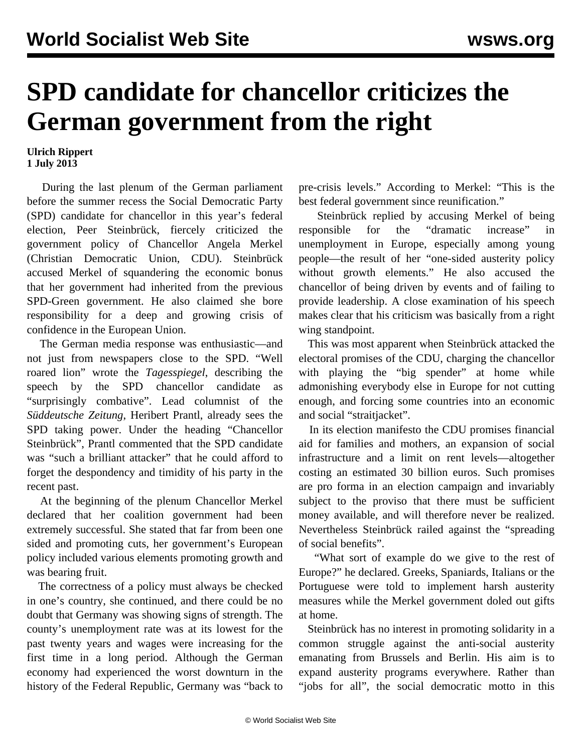## **SPD candidate for chancellor criticizes the German government from the right**

## **Ulrich Rippert 1 July 2013**

 During the last plenum of the German parliament before the summer recess the Social Democratic Party (SPD) candidate for chancellor in this year's federal election, Peer Steinbrück, fiercely criticized the government policy of Chancellor Angela Merkel (Christian Democratic Union, CDU). Steinbrück accused Merkel of squandering the economic bonus that her government had inherited from the previous SPD-Green government. He also claimed she bore responsibility for a deep and growing crisis of confidence in the European Union.

 The German media response was enthusiastic—and not just from newspapers close to the SPD. "Well roared lion" wrote the *Tagesspiegel*, describing the speech by the SPD chancellor candidate as "surprisingly combative". Lead columnist of the *Süddeutsche Zeitung*, Heribert Prantl, already sees the SPD taking power. Under the heading "Chancellor Steinbrück", Prantl commented that the SPD candidate was "such a brilliant attacker" that he could afford to forget the despondency and timidity of his party in the recent past.

 At the beginning of the plenum Chancellor Merkel declared that her coalition government had been extremely successful. She stated that far from been one sided and promoting cuts, her government's European policy included various elements promoting growth and was bearing fruit.

 The correctness of a policy must always be checked in one's country, she continued, and there could be no doubt that Germany was showing signs of strength. The county's unemployment rate was at its lowest for the past twenty years and wages were increasing for the first time in a long period. Although the German economy had experienced the worst downturn in the history of the Federal Republic, Germany was "back to

pre-crisis levels." According to Merkel: "This is the best federal government since reunification."

 Steinbrück replied by accusing Merkel of being responsible for the "dramatic increase" in unemployment in Europe, especially among young people—the result of her "one-sided austerity policy without growth elements." He also accused the chancellor of being driven by events and of failing to provide leadership. A close examination of his speech makes clear that his criticism was basically from a right wing standpoint.

 This was most apparent when Steinbrück attacked the electoral promises of the CDU, charging the chancellor with playing the "big spender" at home while admonishing everybody else in Europe for not cutting enough, and forcing some countries into an economic and social "straitjacket".

 In its election manifesto the CDU promises financial aid for families and mothers, an expansion of social infrastructure and a limit on rent levels—altogether costing an estimated 30 billion euros. Such promises are pro forma in an election campaign and invariably subject to the proviso that there must be sufficient money available, and will therefore never be realized. Nevertheless Steinbrück railed against the "spreading of social benefits".

 "What sort of example do we give to the rest of Europe?" he declared. Greeks, Spaniards, Italians or the Portuguese were told to implement harsh austerity measures while the Merkel government doled out gifts at home.

 Steinbrück has no interest in promoting solidarity in a common struggle against the anti-social austerity emanating from Brussels and Berlin. His aim is to expand austerity programs everywhere. Rather than "jobs for all", the social democratic motto in this